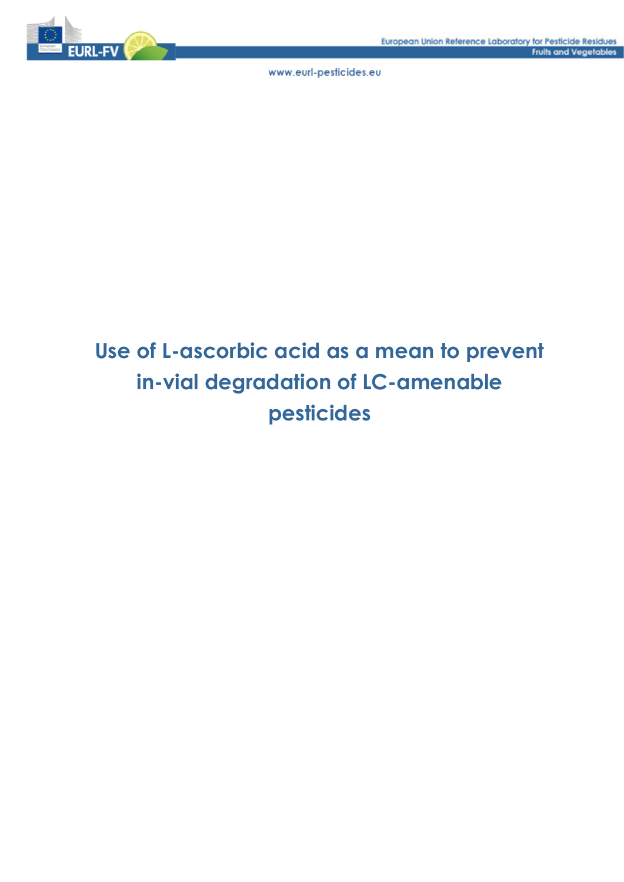

# **Use of L-ascorbic acid as a mean to prevent in-vial degradation of LC-amenable pesticides**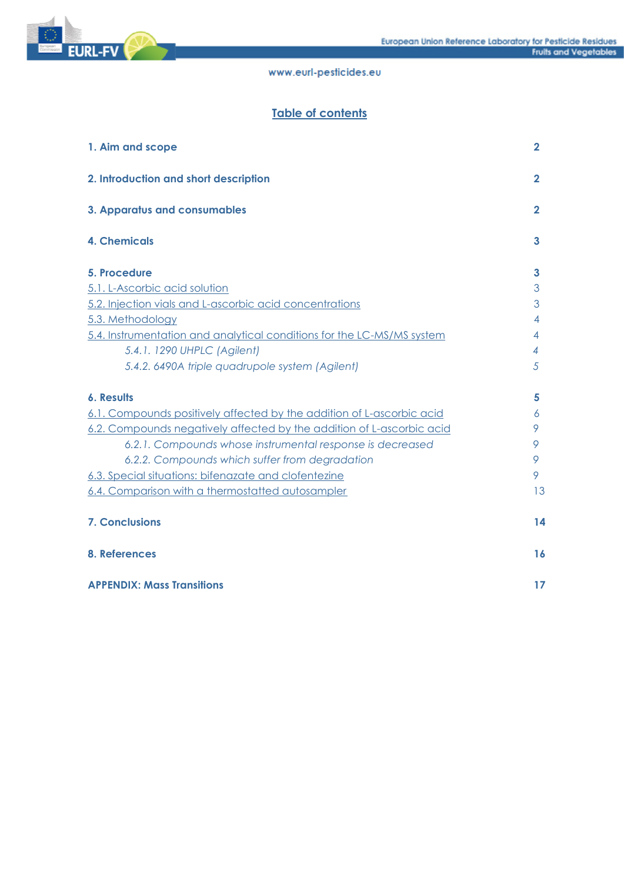

# **Table of contents**

| 1. Aim and scope                                                       | $\overline{2}$ |
|------------------------------------------------------------------------|----------------|
| 2. Introduction and short description                                  | $\mathbf{2}$   |
| 3. Apparatus and consumables                                           | $\mathbf{2}$   |
| <b>4. Chemicals</b>                                                    | 3              |
| 5. Procedure                                                           | 3              |
| 5.1. L-Ascorbic acid solution                                          | 3              |
| 5.2. Injection vials and L-ascorbic acid concentrations                | 3              |
| 5.3. Methodology                                                       | 4              |
| 5.4. Instrumentation and analytical conditions for the LC-MS/MS system | 4              |
| 5.4.1. 1290 UHPLC (Agilent)                                            | 4              |
| 5.4.2. 6490A triple quadrupole system (Agilent)                        | 5              |
| 6. Results                                                             | 5              |
| 6.1. Compounds positively affected by the addition of L-ascorbic acid  | 6              |
| 6.2. Compounds negatively affected by the addition of L-ascorbic acid  | 9              |
| 6.2.1. Compounds whose instrumental response is decreased              | 9              |
| 6.2.2. Compounds which suffer from degradation                         | 9              |
| 6.3. Special situations: bifenazate and clofentezine                   | 9              |
| 6.4. Comparison with a thermostatted autosampler                       | 13             |
| <b>7. Conclusions</b>                                                  | 14             |
| 8. References                                                          | <b>16</b>      |
| <b>APPENDIX: Mass Transitions</b>                                      | 17             |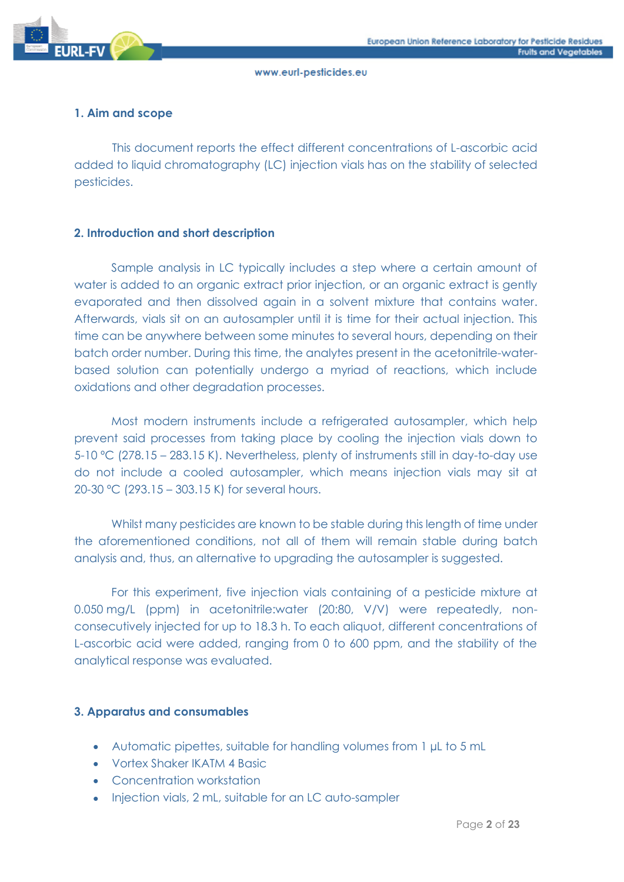

# **1. Aim and scope**

This document reports the effect different concentrations of L-ascorbic acid added to liquid chromatography (LC) injection vials has on the stability of selected pesticides.

# **2. Introduction and short description**

Sample analysis in LC typically includes a step where a certain amount of water is added to an organic extract prior injection, or an organic extract is gently evaporated and then dissolved again in a solvent mixture that contains water. Afterwards, vials sit on an autosampler until it is time for their actual injection. This time can be anywhere between some minutes to several hours, depending on their batch order number. During this time, the analytes present in the acetonitrile-waterbased solution can potentially undergo a myriad of reactions, which include oxidations and other degradation processes.

Most modern instruments include a refrigerated autosampler, which help prevent said processes from taking place by cooling the injection vials down to 5-10 ºC (278.15 – 283.15 K). Nevertheless, plenty of instruments still in day-to-day use do not include a cooled autosampler, which means injection vials may sit at 20-30 ºC (293.15 – 303.15 K) for several hours.

Whilst many pesticides are known to be stable during this length of time under the aforementioned conditions, not all of them will remain stable during batch analysis and, thus, an alternative to upgrading the autosampler is suggested.

For this experiment, five injection vials containing of a pesticide mixture at 0.050 mg/L (ppm) in acetonitrile:water (20:80, V/V) were repeatedly, nonconsecutively injected for up to 18.3 h. To each aliquot, different concentrations of L-ascorbic acid were added, ranging from 0 to 600 ppm, and the stability of the analytical response was evaluated.

# **3. Apparatus and consumables**

- Automatic pipettes, suitable for handling volumes from 1 µL to 5 mL
- Vortex Shaker IKATM 4 Basic
- Concentration workstation
- Injection vials, 2 mL, suitable for an LC auto-sampler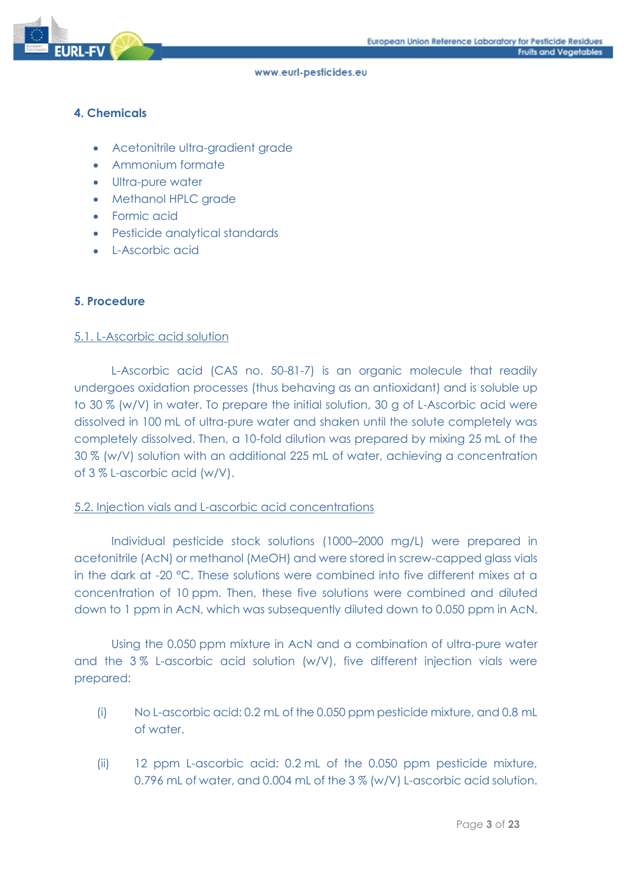

# **4. Chemicals**

- Acetonitrile ultra-gradient grade
- Ammonium formate
- Ultra-pure water
- Methanol HPLC grade
- Formic acid
- Pesticide analytical standards
- L-Ascorbic acid

# **5. Procedure**

# 5.1. L-Ascorbic acid solution

L-Ascorbic acid (CAS no. 50-81-7) is an organic molecule that readily undergoes oxidation processes (thus behaving as an antioxidant) and is soluble up to 30 % (w/V) in water. To prepare the initial solution, 30 g of L-Ascorbic acid were dissolved in 100 mL of ultra-pure water and shaken until the solute completely was completely dissolved. Then, a 10-fold dilution was prepared by mixing 25 mL of the 30 % (w/V) solution with an additional 225 mL of water, achieving a concentration of 3 % L-ascorbic acid (w/V).

# 5.2. Injection vials and L-ascorbic acid concentrations

Individual pesticide stock solutions (1000–2000 mg/L) were prepared in acetonitrile (AcN) or methanol (MeOH) and were stored in screw-capped glass vials in the dark at -20 °C. These solutions were combined into five different mixes at a concentration of 10 ppm. Then, these five solutions were combined and diluted down to 1 ppm in AcN, which was subsequently diluted down to 0.050 ppm in AcN.

Using the 0.050 ppm mixture in AcN and a combination of ultra-pure water and the 3 % L-ascorbic acid solution (w/V), five different injection vials were prepared:

- (i) No L-ascorbic acid: 0.2 mL of the 0.050 ppm pesticide mixture, and 0.8 mL of water.
- (ii) 12 ppm L-ascorbic acid: 0.2 mL of the 0.050 ppm pesticide mixture, 0.796 mL of water, and 0.004 mL of the 3 % (w/V) L-ascorbic acid solution.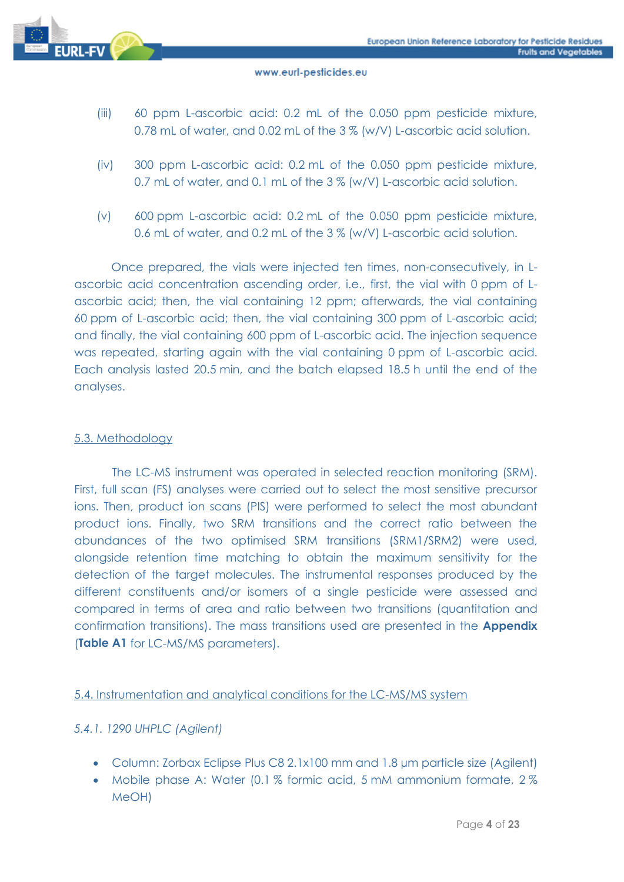

- (iii) 60 ppm L-ascorbic acid: 0.2 mL of the 0.050 ppm pesticide mixture, 0.78 mL of water, and 0.02 mL of the 3 % (w/V) L-ascorbic acid solution.
- (iv) 300 ppm L-ascorbic acid: 0.2 mL of the 0.050 ppm pesticide mixture, 0.7 mL of water, and 0.1 mL of the 3 % (w/V) L-ascorbic acid solution.
- (v) 600 ppm L-ascorbic acid: 0.2 mL of the 0.050 ppm pesticide mixture, 0.6 mL of water, and 0.2 mL of the 3 % (w/V) L-ascorbic acid solution.

Once prepared, the vials were injected ten times, non-consecutively, in Lascorbic acid concentration ascending order, i.e., first, the vial with 0 ppm of Lascorbic acid; then, the vial containing 12 ppm; afterwards, the vial containing 60 ppm of L-ascorbic acid; then, the vial containing 300 ppm of L-ascorbic acid; and finally, the vial containing 600 ppm of L-ascorbic acid. The injection sequence was repeated, starting again with the vial containing 0 ppm of L-ascorbic acid. Each analysis lasted 20.5 min, and the batch elapsed 18.5 h until the end of the analyses.

# 5.3. Methodology

The LC-MS instrument was operated in selected reaction monitoring (SRM). First, full scan (FS) analyses were carried out to select the most sensitive precursor ions. Then, product ion scans (PIS) were performed to select the most abundant product ions. Finally, two SRM transitions and the correct ratio between the abundances of the two optimised SRM transitions (SRM1/SRM2) were used, alongside retention time matching to obtain the maximum sensitivity for the detection of the target molecules. The instrumental responses produced by the different constituents and/or isomers of a single pesticide were assessed and compared in terms of area and ratio between two transitions (quantitation and confirmation transitions). The mass transitions used are presented in the **Appendix** (**Table A1** for LC-MS/MS parameters).

# 5.4. Instrumentation and analytical conditions for the LC-MS/MS system

# *5.4.1. 1290 UHPLC (Agilent)*

- Column: Zorbax Eclipse Plus C8 2.1x100 mm and 1.8 µm particle size (Agilent)
- Mobile phase A: Water (0.1 % formic acid, 5 mM ammonium formate, 2 % MeOH)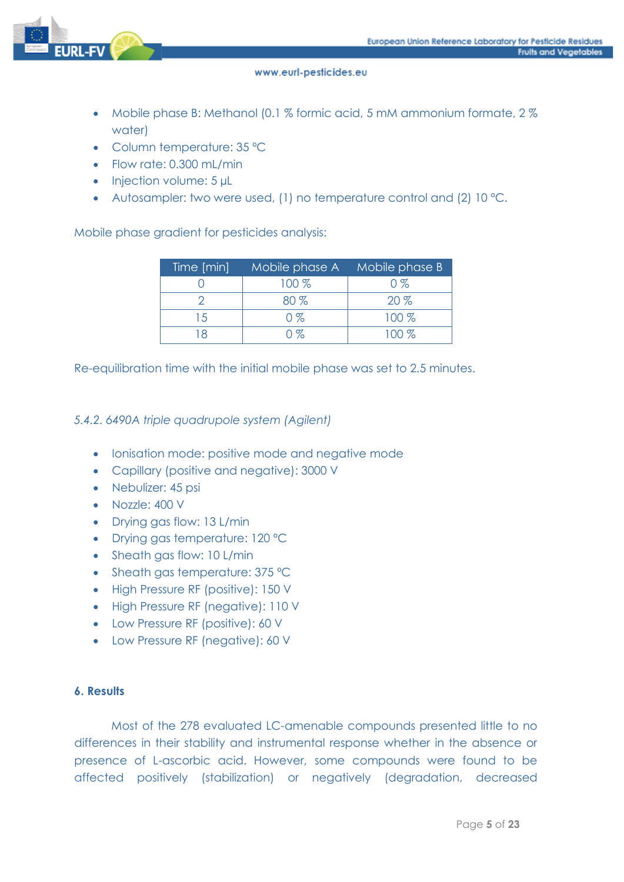

- Mobile phase B: Methanol (0.1 % formic acid, 5 mM ammonium formate, 2 % water)
- Column temperature: 35 ºC
- Flow rate: 0.300 mL/min
- Injection volume: 5 µL
- Autosampler: two were used, (1) no temperature control and (2) 10 °C.

Mobile phase gradient for pesticides analysis:

| Time [min] | Mobile phase A | Mobile phase B |
|------------|----------------|----------------|
|            | 100 %          | $0\%$          |
|            | $80\%$         | 20%            |
| 15         | $0\%$          | $100\%$        |
|            | ገ %            | 100 %          |

Re-equilibration time with the initial mobile phase was set to 2.5 minutes.

# *5.4.2. 6490A triple quadrupole system (Agilent)*

- Ionisation mode: positive mode and negative mode
- Capillary (positive and negative): 3000 V
- Nebulizer: 45 psi
- Nozzle: 400 V
- Drying gas flow: 13 L/min
- Drying gas temperature: 120 ºC
- Sheath gas flow: 10 L/min
- Sheath gas temperature: 375 °C
- High Pressure RF (positive): 150 V
- High Pressure RF (negative): 110 V
- Low Pressure RF (positive): 60 V
- Low Pressure RF (negative): 60 V

# **6. Results**

Most of the 278 evaluated LC-amenable compounds presented little to no differences in their stability and instrumental response whether in the absence or presence of L-ascorbic acid. However, some compounds were found to be affected positively (stabilization) or negatively (degradation, decreased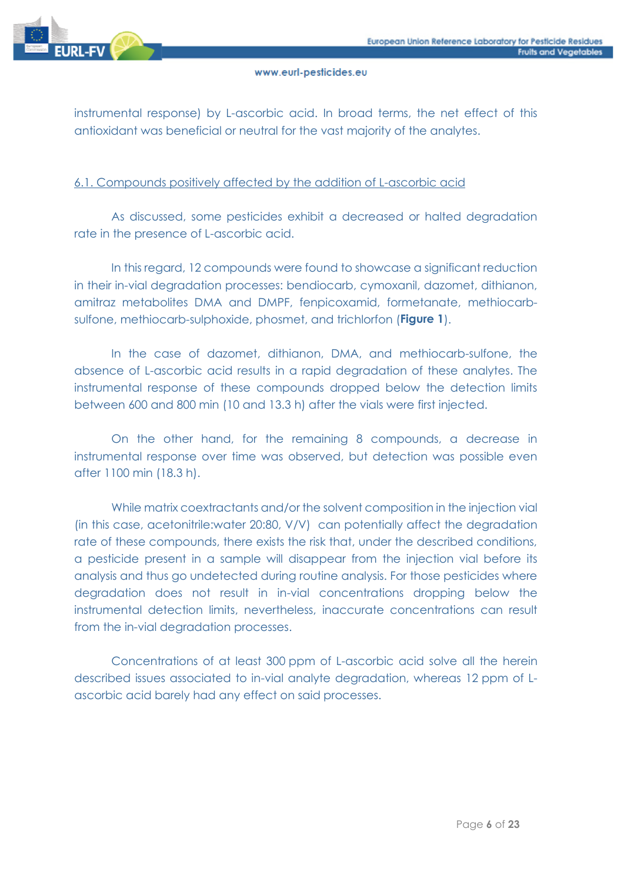

instrumental response) by L-ascorbic acid. In broad terms, the net effect of this antioxidant was beneficial or neutral for the vast majority of the analytes.

# 6.1. Compounds positively affected by the addition of L-ascorbic acid

As discussed, some pesticides exhibit a decreased or halted degradation rate in the presence of L-ascorbic acid.

In this regard, 12 compounds were found to showcase a significant reduction in their in-vial degradation processes: bendiocarb, cymoxanil, dazomet, dithianon, amitraz metabolites DMA and DMPF, fenpicoxamid, formetanate, methiocarbsulfone, methiocarb-sulphoxide, phosmet, and trichlorfon (**Figure 1**).

In the case of dazomet, dithianon, DMA, and methiocarb-sulfone, the absence of L-ascorbic acid results in a rapid degradation of these analytes. The instrumental response of these compounds dropped below the detection limits between 600 and 800 min (10 and 13.3 h) after the vials were first injected.

On the other hand, for the remaining 8 compounds, a decrease in instrumental response over time was observed, but detection was possible even after 1100 min (18.3 h).

While matrix coextractants and/or the solvent composition in the injection vial (in this case, acetonitrile:water 20:80, V/V) can potentially affect the degradation rate of these compounds, there exists the risk that, under the described conditions, a pesticide present in a sample will disappear from the injection vial before its analysis and thus go undetected during routine analysis. For those pesticides where degradation does not result in in-vial concentrations dropping below the instrumental detection limits, nevertheless, inaccurate concentrations can result from the in-vial degradation processes.

Concentrations of at least 300 ppm of L-ascorbic acid solve all the herein described issues associated to in-vial analyte degradation, whereas 12 ppm of Lascorbic acid barely had any effect on said processes.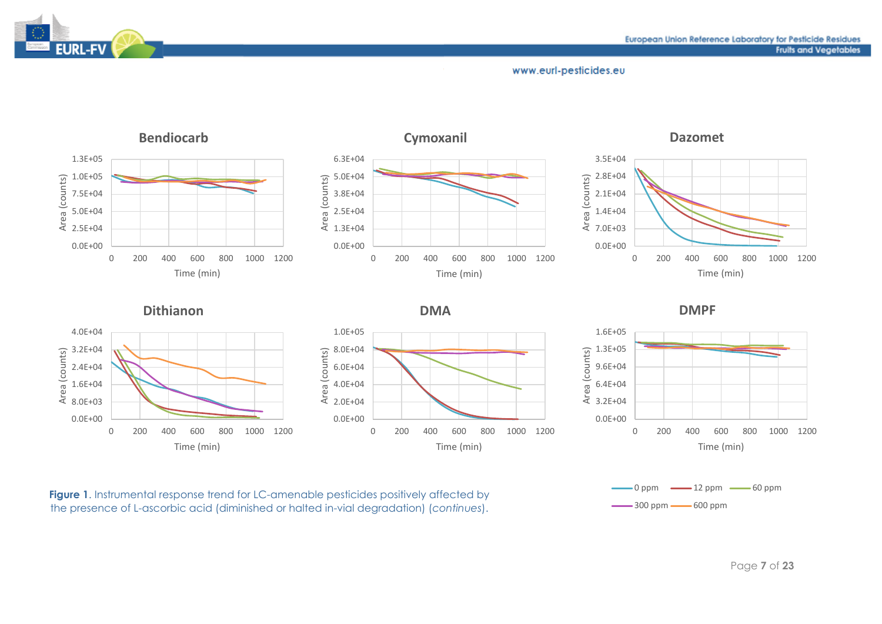



**Figure 1.** Instrumental response trend for LC-amenable pesticides positively affected by the presence of L-ascorbic acid (diminished or halted in-vial degradation) (*continues*).

EURL-FV

Page **7** of **23**

 $-0$  ppm  $-12$  ppm  $-60$  ppm

 $-300$  ppm  $-600$  ppm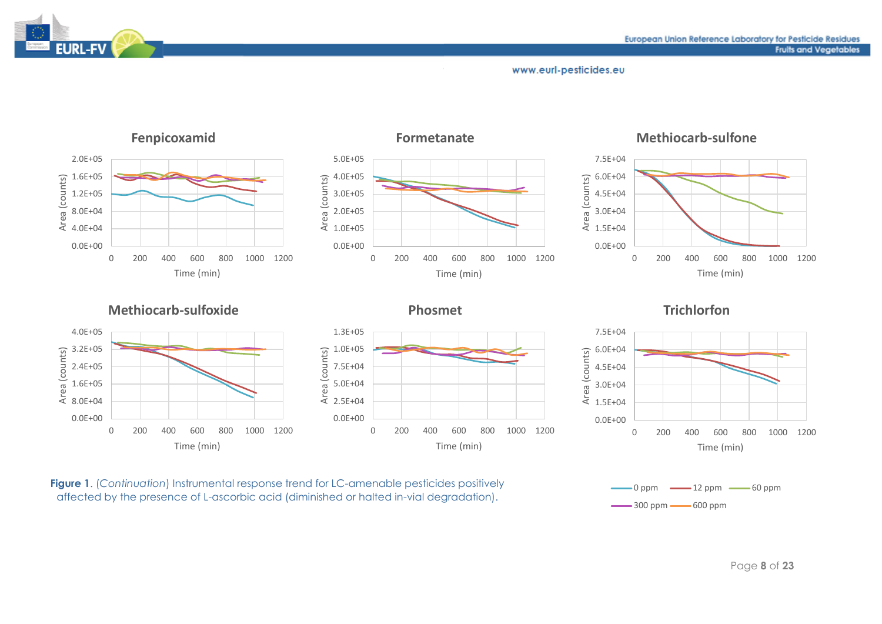

# EURL-FV

#### www.eurl-pesticides.eu



**Figure 1**. (*Continuation*) Instrumental response trend for LC-amenable pesticides positively affected by the presence of L-ascorbic acid (diminished or halted in-vial degradation).

Page **8** of **23**

 $-0$  ppm  $-12$  ppm  $-60$  ppm

 $\frac{300 \text{ ppm}}{300 \text{ ppm}}$  600 ppm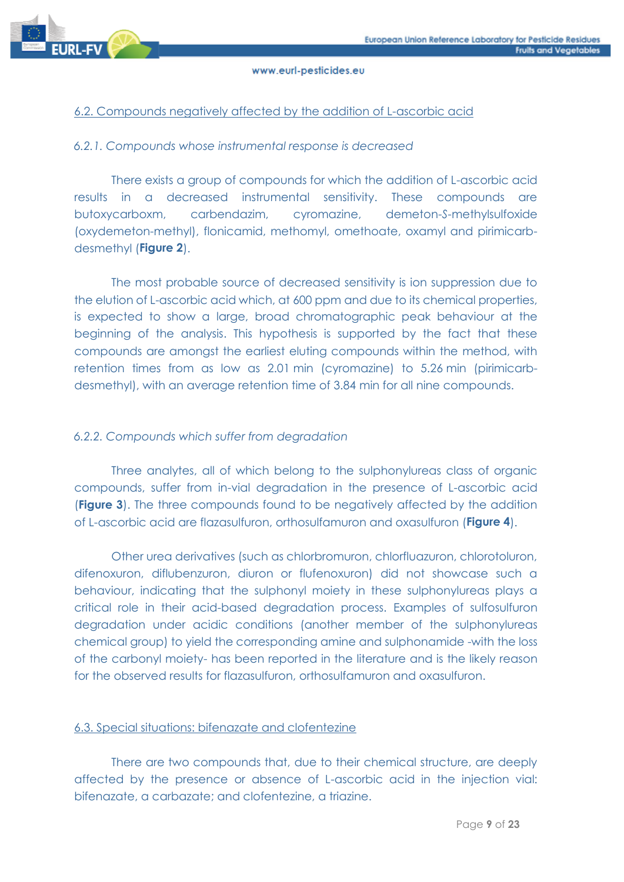

# 6.2. Compounds negatively affected by the addition of L-ascorbic acid

# *6.2.1. Compounds whose instrumental response is decreased*

There exists a group of compounds for which the addition of L-ascorbic acid results in a decreased instrumental sensitivity. These compounds are butoxycarboxm, carbendazim, cyromazine, demeton-*S*-methylsulfoxide (oxydemeton-methyl), flonicamid, methomyl, omethoate, oxamyl and pirimicarbdesmethyl (**Figure 2**).

The most probable source of decreased sensitivity is ion suppression due to the elution of L-ascorbic acid which, at 600 ppm and due to its chemical properties, is expected to show a large, broad chromatographic peak behaviour at the beginning of the analysis. This hypothesis is supported by the fact that these compounds are amongst the earliest eluting compounds within the method, with retention times from as low as 2.01 min (cyromazine) to 5.26 min (pirimicarbdesmethyl), with an average retention time of 3.84 min for all nine compounds.

# *6.2.2. Compounds which suffer from degradation*

Three analytes, all of which belong to the sulphonylureas class of organic compounds, suffer from in-vial degradation in the presence of L-ascorbic acid (**Figure 3**). The three compounds found to be negatively affected by the addition of L-ascorbic acid are flazasulfuron, orthosulfamuron and oxasulfuron (**Figure 4**).

Other urea derivatives (such as chlorbromuron, chlorfluazuron, chlorotoluron, difenoxuron, diflubenzuron, diuron or flufenoxuron) did not showcase such a behaviour, indicating that the sulphonyl moiety in these sulphonylureas plays a critical role in their acid-based degradation process. Examples of sulfosulfuron degradation under acidic conditions (another member of the sulphonylureas chemical group) to yield the corresponding amine and sulphonamide -with the loss of the carbonyl moiety- has been reported in the literature and is the likely reason for the observed results for flazasulfuron, orthosulfamuron and oxasulfuron.

# 6.3. Special situations: bifenazate and clofentezine

There are two compounds that, due to their chemical structure, are deeply affected by the presence or absence of L-ascorbic acid in the injection vial: bifenazate, a carbazate; and clofentezine, a triazine.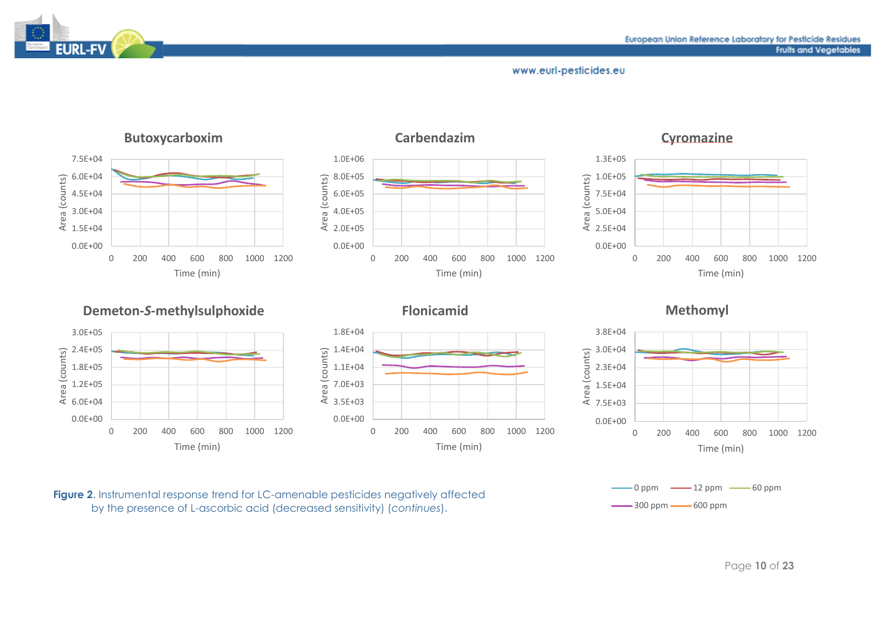



**Figure 2.** Instrumental response trend for LC-amenable pesticides negatively affected by the presence of L-ascorbic acid (decreased sensitivity) (*continues*).

EURL-FV

#### Page **10** of **23**

 $-0$  ppm  $-12$  ppm  $-60$  ppm

 $\frac{300 \text{ ppm}}{300 \text{ ppm}}$  600 ppm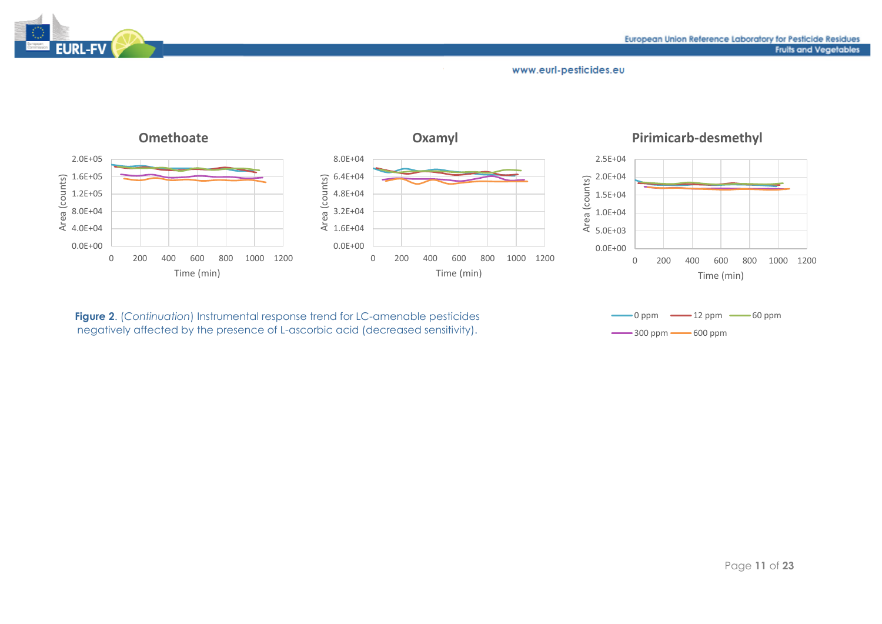

# **EURL-FV**

#### www.eurl-pesticides.eu



**Figure 2**. (*Continuation*) Instrumental response trend for LC-amenable pesticides negatively affected by the presence of L-ascorbic acid (decreased sensitivity).

 $-0$  ppm  $-12$  ppm  $-60$  ppm  $\frac{300 \text{ ppm}}{300 \text{ ppm}}$  600 ppm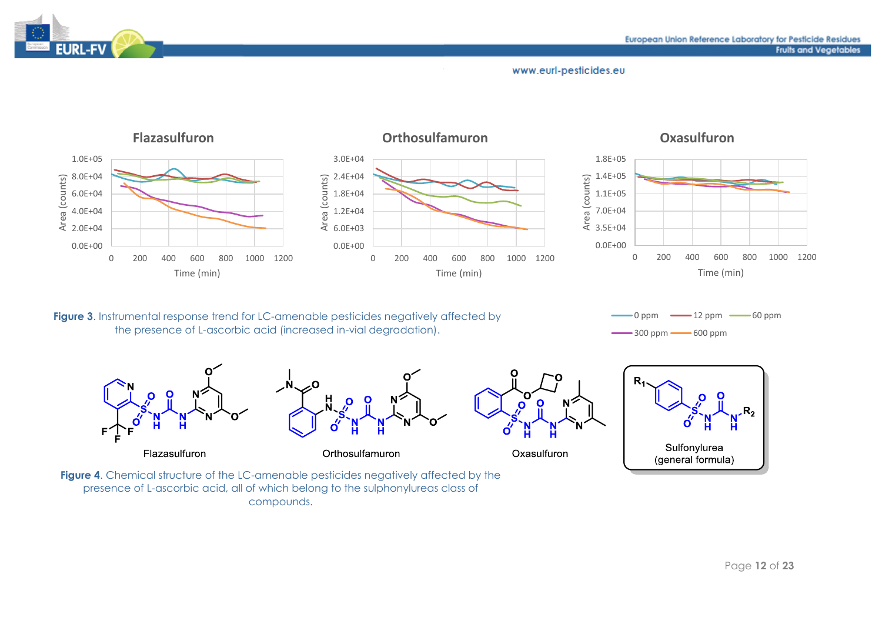



**Figure 3.** Instrumental response trend for LC-amenable pesticides negatively affected by the presence of L-ascorbic acid (increased in-vial degradation).

 $-0$  ppm  $-12$  ppm  $-60$  ppm  $-300$  ppm  $-600$  ppm



 $R_{2}$ й Sulfonylurea (general formula)

**Figure 4.** Chemical structure of the LC-amenable pesticides negatively affected by the presence of L-ascorbic acid, all of which belong to the sulphonylureas class of compounds.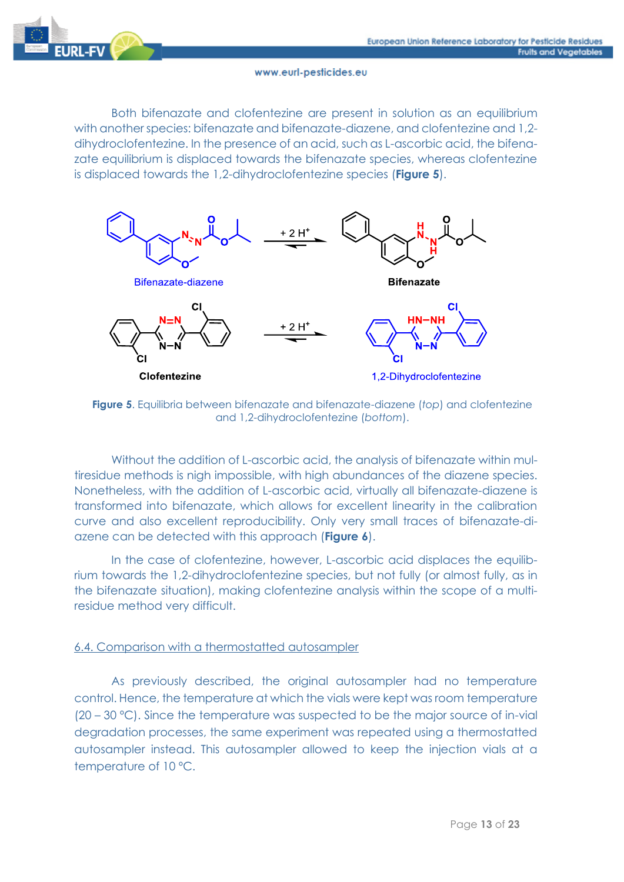

Both bifenazate and clofentezine are present in solution as an equilibrium with another species: bifenazate and bifenazate-diazene, and clofentezine and 1,2 dihydroclofentezine. In the presence of an acid, such as L-ascorbic acid, the bifenazate equilibrium is displaced towards the bifenazate species, whereas clofentezine is displaced towards the 1,2-dihydroclofentezine species (**Figure 5**).



**Figure 5**. Equilibria between bifenazate and bifenazate-diazene (*top*) and clofentezine and 1,2-dihydroclofentezine (*bottom*).

Without the addition of L-ascorbic acid, the analysis of bifenazate within multiresidue methods is nigh impossible, with high abundances of the diazene species. Nonetheless, with the addition of L-ascorbic acid, virtually all bifenazate-diazene is transformed into bifenazate, which allows for excellent linearity in the calibration curve and also excellent reproducibility. Only very small traces of bifenazate-diazene can be detected with this approach (**Figure 6**).

In the case of clofentezine, however, L-ascorbic acid displaces the equilibrium towards the 1,2-dihydroclofentezine species, but not fully (or almost fully, as in the bifenazate situation), making clofentezine analysis within the scope of a multiresidue method very difficult.

# 6.4. Comparison with a thermostatted autosampler

As previously described, the original autosampler had no temperature control. Hence, the temperature at which the vials were kept was room temperature (20 – 30 ºC). Since the temperature was suspected to be the major source of in-vial degradation processes, the same experiment was repeated using a thermostatted autosampler instead. This autosampler allowed to keep the injection vials at a temperature of 10 ºC.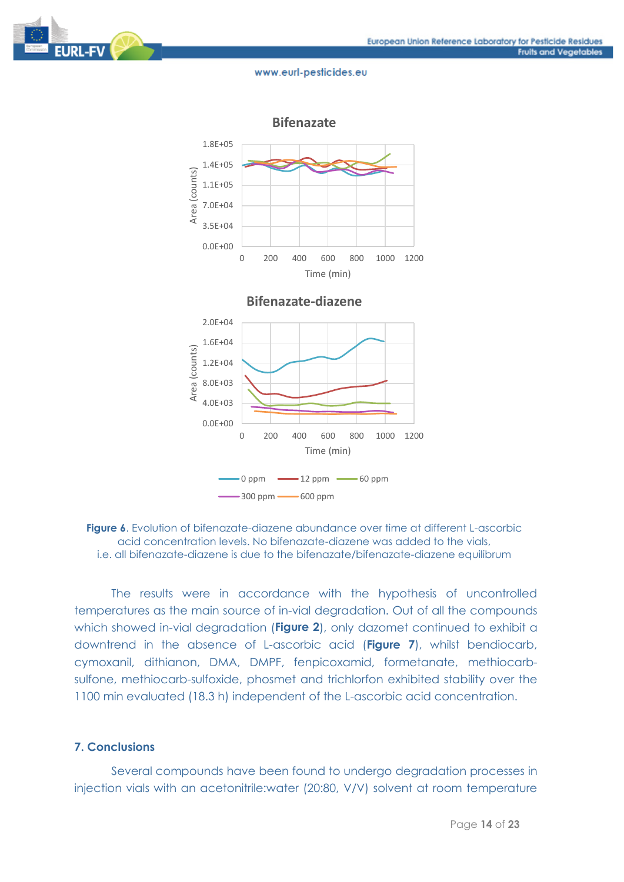



**Figure 6**. Evolution of bifenazate-diazene abundance over time at different L-ascorbic acid concentration levels. No bifenazate-diazene was added to the vials, i.e. all bifenazate-diazene is due to the bifenazate/bifenazate-diazene equilibrum

The results were in accordance with the hypothesis of uncontrolled temperatures as the main source of in-vial degradation. Out of all the compounds which showed in-vial degradation (**Figure 2**), only dazomet continued to exhibit a downtrend in the absence of L-ascorbic acid (**Figure 7**), whilst bendiocarb, cymoxanil, dithianon, DMA, DMPF, fenpicoxamid, formetanate, methiocarbsulfone, methiocarb-sulfoxide, phosmet and trichlorfon exhibited stability over the 1100 min evaluated (18.3 h) independent of the L-ascorbic acid concentration.

# **7. Conclusions**

Several compounds have been found to undergo degradation processes in injection vials with an acetonitrile:water (20:80, V/V) solvent at room temperature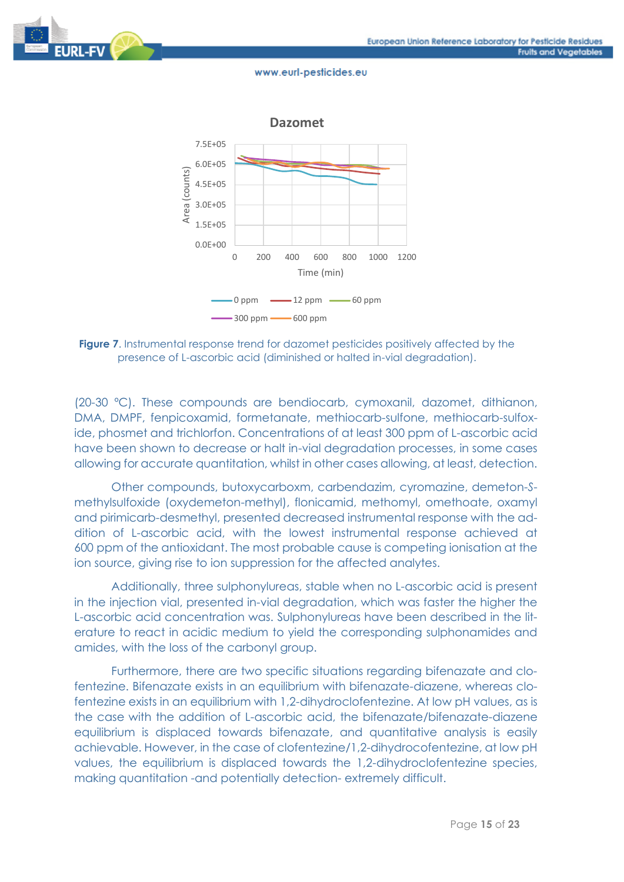



**Figure 7**. Instrumental response trend for dazomet pesticides positively affected by the presence of L-ascorbic acid (diminished or halted in-vial degradation).

(20-30 ºC). These compounds are bendiocarb, cymoxanil, dazomet, dithianon, DMA, DMPF, fenpicoxamid, formetanate, methiocarb-sulfone, methiocarb-sulfoxide, phosmet and trichlorfon. Concentrations of at least 300 ppm of L-ascorbic acid have been shown to decrease or halt in-vial degradation processes, in some cases allowing for accurate quantitation, whilst in other cases allowing, at least, detection.

Other compounds, butoxycarboxm, carbendazim, cyromazine, demeton-*S*methylsulfoxide (oxydemeton-methyl), flonicamid, methomyl, omethoate, oxamyl and pirimicarb-desmethyl, presented decreased instrumental response with the addition of L-ascorbic acid, with the lowest instrumental response achieved at 600 ppm of the antioxidant. The most probable cause is competing ionisation at the ion source, giving rise to ion suppression for the affected analytes.

Additionally, three sulphonylureas, stable when no L-ascorbic acid is present in the injection vial, presented in-vial degradation, which was faster the higher the L-ascorbic acid concentration was. Sulphonylureas have been described in the literature to react in acidic medium to yield the corresponding sulphonamides and amides, with the loss of the carbonyl group.

Furthermore, there are two specific situations regarding bifenazate and clofentezine. Bifenazate exists in an equilibrium with bifenazate-diazene, whereas clofentezine exists in an equilibrium with 1,2-dihydroclofentezine. At low pH values, as is the case with the addition of L-ascorbic acid, the bifenazate/bifenazate-diazene equilibrium is displaced towards bifenazate, and quantitative analysis is easily achievable. However, in the case of clofentezine/1,2-dihydrocofentezine, at low pH values, the equilibrium is displaced towards the 1,2-dihydroclofentezine species, making quantitation -and potentially detection- extremely difficult.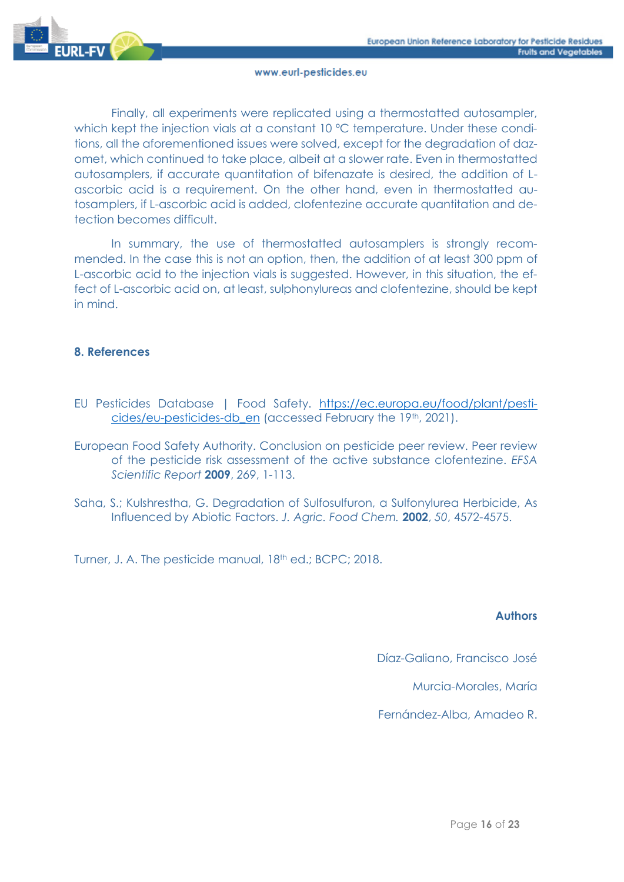

Finally, all experiments were replicated using a thermostatted autosampler, which kept the injection vials at a constant 10 °C temperature. Under these conditions, all the aforementioned issues were solved, except for the degradation of dazomet, which continued to take place, albeit at a slower rate. Even in thermostatted autosamplers, if accurate quantitation of bifenazate is desired, the addition of Lascorbic acid is a requirement. On the other hand, even in thermostatted autosamplers, if L-ascorbic acid is added, clofentezine accurate quantitation and detection becomes difficult.

In summary, the use of thermostatted autosamplers is strongly recommended. In the case this is not an option, then, the addition of at least 300 ppm of L-ascorbic acid to the injection vials is suggested. However, in this situation, the effect of L-ascorbic acid on, at least, sulphonylureas and clofentezine, should be kept in mind.

# **8. References**

- EU Pesticides Database | Food Safety. [https://ec.europa.eu/food/plant/pesti](https://ec.europa.eu/food/plant/pesticides/eu-pesticides-db_en)[cides/eu-pesticides-db\\_en](https://ec.europa.eu/food/plant/pesticides/eu-pesticides-db_en) (accessed February the 19th, 2021).
- European Food Safety Authority. Conclusion on pesticide peer review. Peer review of the pesticide risk assessment of the active substance clofentezine. *EFSA Scientific Report* **2009**, *269*, 1-113.
- Saha, S.; Kulshrestha, G. Degradation of Sulfosulfuron, a Sulfonylurea Herbicide, As Influenced by Abiotic Factors. *J. Agric. Food Chem.* **2002**, *50*, 4572-4575.

Turner, J. A. The pesticide manual, 18th ed.; BCPC; 2018.

# **Authors**

Díaz-Galiano, Francisco José

Murcia-Morales, María

Fernández-Alba, Amadeo R.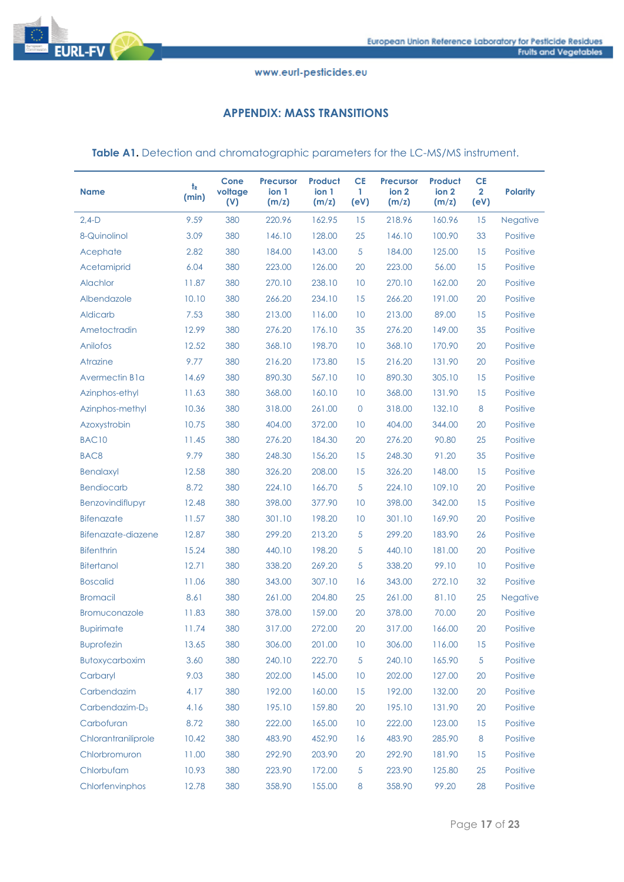

# **APPENDIX: MASS TRANSITIONS**

Table A1. Detection and chromatographic parameters for the LC-MS/MS instrument.

| <b>Name</b>           | t <sub>R</sub><br>(min) | Cone<br>voltage<br>(V) | <b>Precursor</b><br>ion 1<br>(m/z) | <b>Product</b><br>ion 1<br>(m/z) | <b>CE</b><br>1<br>(eV) | <b>Precursor</b><br>ion 2<br>(m/z) | <b>Product</b><br>ion 2<br>(m/z) | <b>CE</b><br>$\mathbf{2}$<br>(eV) | <b>Polarity</b> |
|-----------------------|-------------------------|------------------------|------------------------------------|----------------------------------|------------------------|------------------------------------|----------------------------------|-----------------------------------|-----------------|
| $2,4-D$               | 9.59                    | 380                    | 220.96                             | 162.95                           | 15                     | 218.96                             | 160.96                           | 15                                | <b>Negative</b> |
| 8-Quinolinol          | 3.09                    | 380                    | 146.10                             | 128.00                           | 25                     | 146.10                             | 100.90                           | 33                                | <b>Positive</b> |
| Acephate              | 2.82                    | 380                    | 184.00                             | 143.00                           | 5                      | 184.00                             | 125.00                           | 15                                | <b>Positive</b> |
| Acetamiprid           | 6.04                    | 380                    | 223.00                             | 126.00                           | 20                     | 223.00                             | 56.00                            | 15                                | <b>Positive</b> |
| Alachlor              | 11.87                   | 380                    | 270.10                             | 238.10                           | 10                     | 270.10                             | 162.00                           | 20                                | <b>Positive</b> |
| Albendazole           | 10.10                   | 380                    | 266.20                             | 234.10                           | 15                     | 266.20                             | 191.00                           | 20                                | Positive        |
| <b>Aldicarb</b>       | 7.53                    | 380                    | 213.00                             | 116.00                           | 10                     | 213.00                             | 89.00                            | 15                                | <b>Positive</b> |
| Ametoctradin          | 12.99                   | 380                    | 276.20                             | 176.10                           | 35                     | 276.20                             | 149.00                           | 35                                | <b>Positive</b> |
| Anilofos              | 12.52                   | 380                    | 368.10                             | 198.70                           | 10                     | 368.10                             | 170.90                           | 20                                | <b>Positive</b> |
| <b>Atrazine</b>       | 9.77                    | 380                    | 216.20                             | 173.80                           | 15                     | 216.20                             | 131.90                           | 20                                | <b>Positive</b> |
| Avermectin B1a        | 14.69                   | 380                    | 890.30                             | 567.10                           | 10                     | 890.30                             | 305.10                           | 15                                | <b>Positive</b> |
| Azinphos-ethyl        | 11.63                   | 380                    | 368.00                             | 160.10                           | 10                     | 368.00                             | 131.90                           | 15                                | <b>Positive</b> |
| Azinphos-methyl       | 10.36                   | 380                    | 318.00                             | 261.00                           | $\overline{0}$         | 318.00                             | 132.10                           | 8                                 | <b>Positive</b> |
| Azoxystrobin          | 10.75                   | 380                    | 404.00                             | 372.00                           | 10                     | 404.00                             | 344.00                           | 20                                | Positive        |
| <b>BAC10</b>          | 11.45                   | 380                    | 276.20                             | 184.30                           | 20                     | 276.20                             | 90.80                            | 25                                | <b>Positive</b> |
| BAC <sub>8</sub>      | 9.79                    | 380                    | 248.30                             | 156.20                           | 15                     | 248.30                             | 91.20                            | 35                                | <b>Positive</b> |
| <b>Benalaxyl</b>      | 12.58                   | 380                    | 326.20                             | 208.00                           | 15                     | 326.20                             | 148.00                           | 15                                | <b>Positive</b> |
| <b>Bendiocarb</b>     | 8.72                    | 380                    | 224.10                             | 166.70                           | 5                      | 224.10                             | 109.10                           | 20                                | <b>Positive</b> |
| Benzovindiflupyr      | 12.48                   | 380                    | 398.00                             | 377.90                           | 10                     | 398.00                             | 342.00                           | 15                                | <b>Positive</b> |
| <b>Bifenazate</b>     | 11.57                   | 380                    | 301.10                             | 198.20                           | 10                     | 301.10                             | 169.90                           | 20                                | <b>Positive</b> |
| Bifenazate-diazene    | 12.87                   | 380                    | 299.20                             | 213.20                           | 5                      | 299.20                             | 183.90                           | 26                                | <b>Positive</b> |
| <b>Bifenthrin</b>     | 15.24                   | 380                    | 440.10                             | 198.20                           | 5                      | 440.10                             | 181.00                           | 20                                | <b>Positive</b> |
| <b>Bitertanol</b>     | 12.71                   | 380                    | 338.20                             | 269.20                           | 5                      | 338.20                             | 99.10                            | 10                                | <b>Positive</b> |
| <b>Boscalid</b>       | 11.06                   | 380                    | 343.00                             | 307.10                           | 16                     | 343.00                             | 272.10                           | 32                                | <b>Positive</b> |
| <b>Bromacil</b>       | 8.61                    | 380                    | 261.00                             | 204.80                           | 25                     | 261.00                             | 81.10                            | 25                                | <b>Negative</b> |
| <b>Bromuconazole</b>  | 11.83                   | 380                    | 378.00                             | 159.00                           | 20                     | 378.00                             | 70.00                            | 20                                | Positive        |
| <b>Bupirimate</b>     | 11.74                   | 380                    | 317.00                             | 272.00                           | 20                     | 317.00                             | 166.00                           | 20                                | <b>Positive</b> |
| <b>Buprofezin</b>     | 13.65                   | 380                    | 306.00                             | 201.00                           | 10                     | 306.00                             | 116.00                           | 15                                | <b>Positive</b> |
| <b>Butoxycarboxim</b> | 3.60                    | 380                    | 240.10                             | 222.70                           | $\overline{5}$         | 240.10                             | 165.90                           | $\overline{5}$                    | Positive        |
| Carbaryl              | 9.03                    | 380                    | 202.00                             | 145.00                           | 10                     | 202.00                             | 127.00                           | 20                                | Positive        |
| Carbendazim           | 4.17                    | 380                    | 192.00                             | 160.00                           | 15                     | 192.00                             | 132.00                           | 20                                | Positive        |
| $Carbendazim-D3$      | 4.16                    | 380                    | 195.10                             | 159.80                           | 20                     | 195.10                             | 131.90                           | 20                                | Positive        |
| Carbofuran            | 8.72                    | 380                    | 222.00                             | 165.00                           | 10                     | 222.00                             | 123.00                           | 15                                | Positive        |
| Chlorantraniliprole   | 10.42                   | 380                    | 483.90                             | 452.90                           | 16                     | 483.90                             | 285.90                           | 8                                 | Positive        |
| Chlorbromuron         | 11.00                   | 380                    | 292.90                             | 203.90                           | 20                     | 292.90                             | 181.90                           | 15                                | Positive        |
| Chlorbufam            | 10.93                   | 380                    | 223.90                             | 172.00                           | $\overline{5}$         | 223.90                             | 125.80                           | 25                                | Positive        |
| Chlorfenvinphos       | 12.78                   | 380                    | 358.90                             | 155.00                           | $\,8\,$                | 358.90                             | 99.20                            | 28                                | Positive        |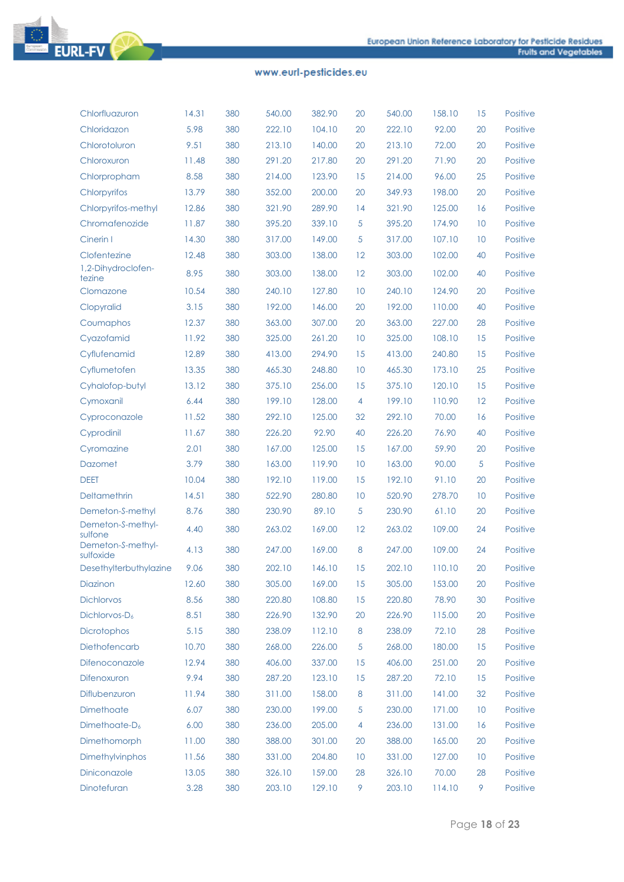

| 380<br>158.10                                                                                           |          |                             |
|---------------------------------------------------------------------------------------------------------|----------|-----------------------------|
| Chlorfluazuron<br>14.31<br>540.00<br>382.90<br>20<br>540.00<br>5.98<br>380<br>222.10<br>222.10<br>92.00 | 15<br>20 | <b>Positive</b><br>Positive |
| Chloridazon<br>104.10<br>20<br>380<br>213.10<br>140.00<br>213.10                                        | 20       | Positive                    |
| 9.51<br>Chlorotoluron<br>20<br>72.00<br>380<br>291.20                                                   |          | <b>Positive</b>             |
| 11.48<br>291.20<br>217.80<br>20<br>71.90<br>Chloroxuron<br>96.00                                        | 20       |                             |
| 8.58<br>380<br>123.90<br>214.00<br>Chlorpropham<br>214.00<br>15                                         | 25       | Positive                    |
| 380<br>349.93<br>198.00<br>13.79<br>352.00<br>200.00<br>20<br>Chlorpyrifos                              | 20       | Positive                    |
| 380<br>289.90<br>321.90<br>125.00<br>Chlorpyrifos-methyl<br>12.86<br>321.90<br>14                       | 16       | Positive                    |
| 380<br>339.10<br>5<br>174.90<br>Chromafenozide<br>11.87<br>395.20<br>395.20                             | 10       | Positive                    |
| 380<br>149.00<br>5<br>Cinerin I<br>14.30<br>317.00<br>317.00<br>107.10                                  | 10       | Positive                    |
| 380<br>Clofentezine<br>12.48<br>303.00<br>138.00<br>12<br>303.00<br>102.00                              | 40       | Positive                    |
| 1,2-Dihydroclofen-<br>8.95<br>380<br>303.00<br>138.00<br>12<br>303.00<br>102.00<br>tezine               | 40       | <b>Positive</b>             |
| 10.54<br>380<br>240.10<br>10<br>240.10<br>124.90<br>127.80<br>Clomazone                                 | 20       | Positive                    |
| 3.15<br>380<br>192.00<br>192.00<br>146.00<br>20<br>110.00<br>Clopyralid                                 | 40       | Positive                    |
| 380<br>12.37<br>363.00<br>307.00<br>20<br>363.00<br>227.00<br>Coumaphos                                 | 28       | Positive                    |
| 380<br>325.00<br>325.00<br>108.10<br>Cyazofamid<br>11.92<br>261.20<br>10                                | 15       | Positive                    |
| 380<br>Cyflufenamid<br>12.89<br>413.00<br>294.90<br>15<br>413.00<br>240.80                              | 15       | Positive                    |
| 380<br>465.30<br>248.80<br>465.30<br>Cyflumetofen<br>13.35<br>10<br>173.10                              | 25       | Positive                    |
| 380<br>13.12<br>375.10<br>256.00<br>15<br>375.10<br>120.10<br>Cyhalofop-butyl                           | 15       | Positive                    |
| 380<br>199.10<br>128.00<br>199.10<br>110.90<br>Cymoxanil<br>6.44<br>4                                   | 12       | Positive                    |
| 380<br>11.52<br>292.10<br>125.00<br>32<br>292.10<br>70.00<br>Cyproconazole                              | 16       | Positive                    |
| 380<br>92.90<br>40<br>226.20<br>76.90<br>11.67<br>226.20<br>Cyprodinil                                  | 40       | Positive                    |
| 380<br>2.01<br>167.00<br>125.00<br>15<br>167.00<br>59.90<br>Cyromazine                                  | 20       | Positive                    |
| 3.79<br>380<br>163.00<br>119.90<br>163.00<br><b>Dazomet</b><br>10<br>90.00                              | 5        | Positive                    |
| <b>DEET</b><br>380<br>10.04<br>192.10<br>119.00<br>15<br>192.10<br>91.10                                | 20       | Positive                    |
| 380<br>280.80<br>520.90<br>Deltamethrin<br>14.51<br>522.90<br>10<br>278.70                              | 10       | Positive                    |
| 380<br>5<br>Demeton-S-methyl<br>230.90<br>89.10<br>230.90<br>61.10<br>8.76                              | 20       | Positive                    |
| Demeton-S-methyl-<br>380<br>4.40<br>263.02<br>169.00<br>12<br>263.02<br>109.00<br>sulfone               | 24       | Positive                    |
| Demeton-S-methyl-<br>380<br>169.00<br>8<br>4.13<br>247.00<br>247.00<br>109.00<br>sulfoxide              | 24       | <b>Positive</b>             |
| 380<br>9.06<br>202.10<br>146.10<br>15<br>202.10<br>110.10<br>Desethylterbuthylazine                     | 20       | <b>Positive</b>             |
| 12.60<br>380<br>169.00<br>15<br>305.00<br>Diazinon<br>305.00<br>153.00                                  | 20       | Positive                    |
| <b>Dichlorvos</b><br>8.56<br>380<br>220.80<br>108.80<br>15<br>220.80<br>78.90                           | 30       | Positive                    |
| 8.51<br>380<br>132.90<br>115.00<br>Dichlorvos-D <sub>6</sub><br>226.90<br>20<br>226.90                  | 20       | Positive                    |
| <b>Dicrotophos</b><br>5.15<br>380<br>238.09<br>112.10<br>$\boldsymbol{8}$<br>238.09<br>72.10            | 28       | Positive                    |
| Diethofencarb<br>10.70<br>380<br>268.00<br>5<br>268.00<br>180.00<br>226.00                              | 15       | Positive                    |
| 15<br>Difenoconazole<br>12.94<br>380<br>406.00<br>337.00<br>406.00<br>251.00                            | 20       | Positive                    |
| 9.94<br>380<br>287.20<br>123.10<br>72.10<br>Difenoxuron<br>15<br>287.20                                 | 15       | Positive                    |
| 158.00<br>Diflubenzuron<br>11.94<br>380<br>311.00<br>$\boldsymbol{8}$<br>311.00<br>141.00               | 32       | Positive                    |
| 230.00<br>199.00<br>5<br>171.00<br>Dimethoate<br>6.07<br>380<br>230.00                                  | 10       | Positive                    |
|                                                                                                         |          |                             |
| Dimethoate-D <sub>6</sub><br>6.00<br>380<br>236.00<br>205.00<br>$\overline{4}$<br>236.00<br>131.00      | 16       | Positive                    |
| Dimethomorph<br>11.00<br>380<br>388.00<br>301.00<br>20<br>388.00<br>165.00                              | 20       | Positive                    |
| Dimethylvinphos<br>11.56<br>380<br>331.00<br>204.80<br>10<br>331.00<br>127.00                           | 10       | Positive                    |
| Diniconazole<br>159.00<br>13.05<br>380<br>326.10<br>28<br>326.10<br>70.00                               | 28       | Positive                    |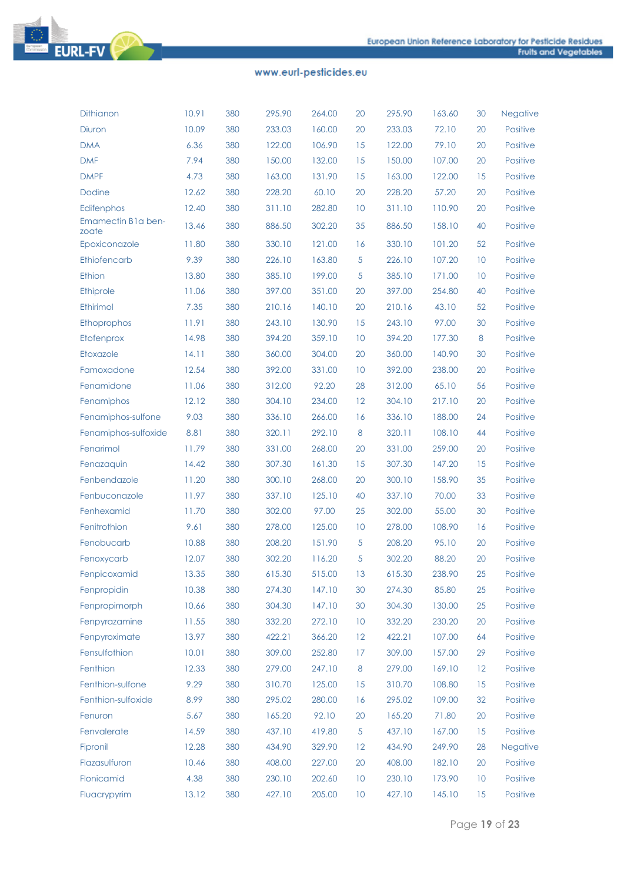

| <b>Dithianon</b>            | 10.91 | 380 | 295.90 | 264.00 | 20 | 295.90 | 163.60 | 30 | Negative        |
|-----------------------------|-------|-----|--------|--------|----|--------|--------|----|-----------------|
| <b>Diuron</b>               | 10.09 | 380 | 233.03 | 160.00 | 20 | 233.03 | 72.10  | 20 | <b>Positive</b> |
| <b>DMA</b>                  | 6.36  | 380 | 122.00 | 106.90 | 15 | 122.00 | 79.10  | 20 | Positive        |
| <b>DMF</b>                  | 7.94  | 380 | 150.00 | 132.00 | 15 | 150.00 | 107.00 | 20 | Positive        |
| <b>DMPF</b>                 | 4.73  | 380 | 163.00 | 131.90 | 15 | 163.00 | 122.00 | 15 | Positive        |
| Dodine                      | 12.62 | 380 | 228.20 | 60.10  | 20 | 228.20 | 57.20  | 20 | Positive        |
| Edifenphos                  | 12.40 | 380 | 311.10 | 282.80 | 10 | 311.10 | 110.90 | 20 | Positive        |
| Emamectin B1a ben-<br>zoate | 13.46 | 380 | 886.50 | 302.20 | 35 | 886.50 | 158.10 | 40 | Positive        |
| Epoxiconazole               | 11.80 | 380 | 330.10 | 121.00 | 16 | 330.10 | 101.20 | 52 | Positive        |
| Ethiofencarb                | 9.39  | 380 | 226.10 | 163.80 | 5  | 226.10 | 107.20 | 10 | Positive        |
| Ethion                      | 13.80 | 380 | 385.10 | 199.00 | 5  | 385.10 | 171.00 | 10 | Positive        |
| Ethiprole                   | 11.06 | 380 | 397.00 | 351.00 | 20 | 397.00 | 254.80 | 40 | <b>Positive</b> |
| Ethirimol                   | 7.35  | 380 | 210.16 | 140.10 | 20 | 210.16 | 43.10  | 52 | Positive        |
| Ethoprophos                 | 11.91 | 380 | 243.10 | 130.90 | 15 | 243.10 | 97.00  | 30 | Positive        |
| Etofenprox                  | 14.98 | 380 | 394.20 | 359.10 | 10 | 394.20 | 177.30 | 8  | Positive        |
| Etoxazole                   | 14.11 | 380 | 360.00 | 304.00 | 20 | 360.00 | 140.90 | 30 | <b>Positive</b> |
| Famoxadone                  | 12.54 | 380 | 392.00 | 331.00 | 10 | 392.00 | 238.00 | 20 | Positive        |
| Fenamidone                  | 11.06 | 380 | 312.00 | 92.20  | 28 | 312.00 | 65.10  | 56 | Positive        |
| Fenamiphos                  | 12.12 | 380 | 304.10 | 234.00 | 12 | 304.10 | 217.10 | 20 | Positive        |
| Fenamiphos-sulfone          | 9.03  | 380 | 336.10 | 266.00 | 16 | 336.10 | 188.00 | 24 | Positive        |
| Fenamiphos-sulfoxide        | 8.81  | 380 | 320.11 | 292.10 | 8  | 320.11 | 108.10 | 44 | Positive        |
| Fenarimol                   | 11.79 | 380 | 331.00 | 268.00 | 20 | 331.00 | 259.00 | 20 | Positive        |
| Fenazaquin                  | 14.42 | 380 | 307.30 | 161.30 | 15 | 307.30 | 147.20 | 15 | Positive        |
| Fenbendazole                | 11.20 | 380 | 300.10 | 268.00 | 20 | 300.10 | 158.90 | 35 | <b>Positive</b> |
| Fenbuconazole               | 11.97 | 380 | 337.10 | 125.10 | 40 | 337.10 | 70.00  | 33 | Positive        |
| Fenhexamid                  | 11.70 | 380 | 302.00 | 97.00  | 25 | 302.00 | 55.00  | 30 | Positive        |
| Fenitrothion                | 9.61  | 380 | 278.00 | 125.00 | 10 | 278.00 | 108.90 | 16 | Positive        |
| Fenobucarb                  | 10.88 | 380 | 208.20 | 151.90 | 5  | 208.20 | 95.10  | 20 | Positive        |
| Fenoxycarb                  | 12.07 | 380 | 302.20 | 116.20 | 5  | 302.20 | 88.20  | 20 | Positive        |
| Fenpicoxamid                | 13.35 | 380 | 615.30 | 515.00 | 13 | 615.30 | 238.90 | 25 | Positive        |
| Fenpropidin                 | 10.38 | 380 | 274.30 | 147.10 | 30 | 274.30 | 85.80  | 25 | Positive        |
| Fenpropimorph               | 10.66 | 380 | 304.30 | 147.10 | 30 | 304.30 | 130.00 | 25 | Positive        |
| Fenpyrazamine               | 11.55 | 380 | 332.20 | 272.10 | 10 | 332.20 | 230.20 | 20 | Positive        |
| Fenpyroximate               | 13.97 | 380 | 422.21 | 366.20 | 12 | 422.21 | 107.00 | 64 | Positive        |
| Fensulfothion               | 10.01 | 380 | 309.00 | 252.80 | 17 | 309.00 | 157.00 | 29 | Positive        |
| Fenthion                    | 12.33 | 380 | 279.00 | 247.10 | 8  | 279.00 | 169.10 | 12 | Positive        |
| Fenthion-sulfone            | 9.29  | 380 | 310.70 | 125.00 | 15 | 310.70 | 108.80 | 15 | Positive        |
| Fenthion-sulfoxide          | 8.99  | 380 | 295.02 | 280.00 | 16 | 295.02 | 109.00 | 32 | Positive        |
| Fenuron                     | 5.67  | 380 | 165.20 | 92.10  | 20 | 165.20 | 71.80  | 20 | Positive        |
| Fenvalerate                 | 14.59 | 380 | 437.10 | 419.80 | 5  | 437.10 | 167.00 | 15 | Positive        |
| Fipronil                    | 12.28 | 380 | 434.90 | 329.90 | 12 | 434.90 | 249.90 | 28 | Negative        |
| Flazasulfuron               | 10.46 | 380 | 408.00 | 227.00 | 20 | 408.00 | 182.10 | 20 | Positive        |
| Flonicamid                  | 4.38  | 380 | 230.10 | 202.60 | 10 | 230.10 | 173.90 | 10 | Positive        |
| Fluacrypyrim                | 13.12 | 380 | 427.10 | 205.00 | 10 | 427.10 | 145.10 | 15 | Positive        |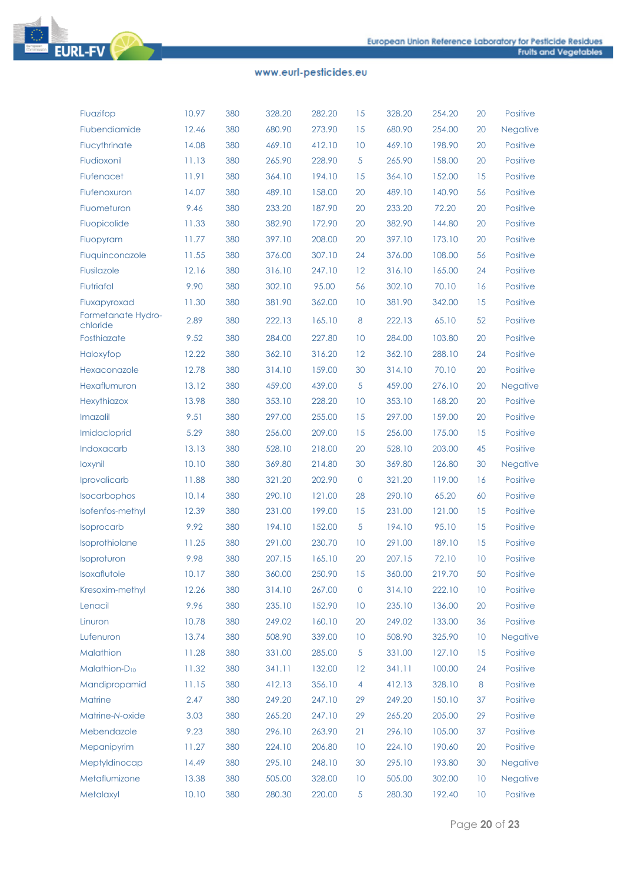

| Fluazifop                      | 10.97 | 380 | 328.20 | 282.20 | 15             | 328.20 | 254.20 | 20 | Positive        |
|--------------------------------|-------|-----|--------|--------|----------------|--------|--------|----|-----------------|
| Flubendiamide                  | 12.46 | 380 | 680.90 | 273.90 | 15             | 680.90 | 254.00 | 20 | Negative        |
| Flucythrinate                  | 14.08 | 380 | 469.10 | 412.10 | 10             | 469.10 | 198.90 | 20 | Positive        |
| Fludioxonil                    | 11.13 | 380 | 265.90 | 228.90 | 5              | 265.90 | 158.00 | 20 | Positive        |
| Flufenacet                     | 11.91 | 380 | 364.10 | 194.10 | 15             | 364.10 | 152.00 | 15 | Positive        |
| Flufenoxuron                   | 14.07 | 380 | 489.10 | 158.00 | 20             | 489.10 | 140.90 | 56 | Positive        |
| Fluometuron                    | 9.46  | 380 | 233.20 | 187.90 | 20             | 233.20 | 72.20  | 20 | Positive        |
| Fluopicolide                   | 11.33 | 380 | 382.90 | 172.90 | 20             | 382.90 | 144.80 | 20 | Positive        |
| Fluopyram                      | 11.77 | 380 | 397.10 | 208.00 | 20             | 397.10 | 173.10 | 20 | Positive        |
| Fluquinconazole                | 11.55 | 380 | 376.00 | 307.10 | 24             | 376.00 | 108.00 | 56 | Positive        |
| Flusilazole                    | 12.16 | 380 | 316.10 | 247.10 | 12             | 316.10 | 165.00 | 24 | Positive        |
| Flutriafol                     | 9.90  | 380 | 302.10 | 95.00  | 56             | 302.10 | 70.10  | 16 | Positive        |
| Fluxapyroxad                   | 11.30 | 380 | 381.90 | 362.00 | 10             | 381.90 | 342.00 | 15 | Positive        |
| Formetanate Hydro-<br>chloride | 2.89  | 380 | 222.13 | 165.10 | 8              | 222.13 | 65.10  | 52 | Positive        |
| Fosthiazate                    | 9.52  | 380 | 284.00 | 227.80 | 10             | 284.00 | 103.80 | 20 | Positive        |
| Haloxyfop                      | 12.22 | 380 | 362.10 | 316.20 | 12             | 362.10 | 288.10 | 24 | Positive        |
| Hexaconazole                   | 12.78 | 380 | 314.10 | 159.00 | 30             | 314.10 | 70.10  | 20 | Positive        |
| Hexaflumuron                   | 13.12 | 380 | 459.00 | 439.00 | 5              | 459.00 | 276.10 | 20 | <b>Negative</b> |
| Hexythiazox                    | 13.98 | 380 | 353.10 | 228.20 | 10             | 353.10 | 168.20 | 20 | Positive        |
| Imazalil                       | 9.51  | 380 | 297.00 | 255.00 | 15             | 297.00 | 159.00 | 20 | Positive        |
| Imidacloprid                   | 5.29  | 380 | 256.00 | 209.00 | 15             | 256.00 | 175.00 | 15 | Positive        |
| Indoxacarb                     | 13.13 | 380 | 528.10 | 218.00 | 20             | 528.10 | 203.00 | 45 | Positive        |
| loxynil                        | 10.10 | 380 | 369.80 | 214.80 | 30             | 369.80 | 126.80 | 30 | <b>Negative</b> |
| Iprovalicarb                   | 11.88 | 380 | 321.20 | 202.90 | $\overline{0}$ | 321.20 | 119.00 | 16 | Positive        |
| Isocarbophos                   | 10.14 | 380 | 290.10 | 121.00 | 28             | 290.10 | 65.20  | 60 | Positive        |
| Isofenfos-methyl               | 12.39 | 380 | 231.00 | 199.00 | 15             | 231.00 | 121.00 | 15 | Positive        |
| <b>Isoprocarb</b>              | 9.92  | 380 | 194.10 | 152.00 | 5              | 194.10 | 95.10  | 15 | Positive        |
| Isoprothiolane                 | 11.25 | 380 | 291.00 | 230.70 | 10             | 291.00 | 189.10 | 15 | Positive        |
| Isoproturon                    | 9.98  | 380 | 207.15 | 165.10 | 20             | 207.15 | 72.10  | 10 | Positive        |
| Isoxaflutole                   | 10.17 | 380 | 360.00 | 250.90 | 15             | 360.00 | 219.70 | 50 | Positive        |
| Kresoxim-methyl                | 12.26 | 380 | 314.10 | 267.00 | 0              | 314.10 | 222.10 | 10 | Positive        |
| Lenacil                        | 9.96  | 380 | 235.10 | 152.90 | 10             | 235.10 | 136.00 | 20 | Positive        |
| Linuron                        | 10.78 | 380 | 249.02 | 160.10 | 20             | 249.02 | 133.00 | 36 | Positive        |
| Lufenuron                      | 13.74 | 380 | 508.90 | 339.00 | 10             | 508.90 | 325.90 | 10 | Negative        |
| Malathion                      | 11.28 | 380 | 331.00 | 285.00 | 5              | 331.00 | 127.10 | 15 | Positive        |
| Malathion-D <sub>10</sub>      | 11.32 | 380 | 341.11 | 132.00 | 12             | 341.11 | 100.00 | 24 | Positive        |
| Mandipropamid                  | 11.15 | 380 | 412.13 | 356.10 | 4              | 412.13 | 328.10 | 8  | Positive        |
| Matrine                        | 2.47  | 380 | 249.20 | 247.10 | 29             | 249.20 | 150.10 | 37 | Positive        |
| Matrine-N-oxide                | 3.03  | 380 | 265.20 | 247.10 | 29             | 265.20 | 205.00 | 29 | Positive        |
| Mebendazole                    | 9.23  | 380 | 296.10 | 263.90 | 21             | 296.10 | 105.00 | 37 | Positive        |
| Mepanipyrim                    | 11.27 | 380 | 224.10 | 206.80 | 10             | 224.10 | 190.60 | 20 | Positive        |
| Meptyldinocap                  | 14.49 | 380 | 295.10 | 248.10 | 30             | 295.10 | 193.80 | 30 | Negative        |
| Metaflumizone                  | 13.38 | 380 | 505.00 | 328.00 | 10             | 505.00 | 302.00 | 10 | Negative        |
| Metalaxyl                      | 10.10 | 380 | 280.30 | 220.00 | $\sqrt{5}$     | 280.30 | 192.40 | 10 | Positive        |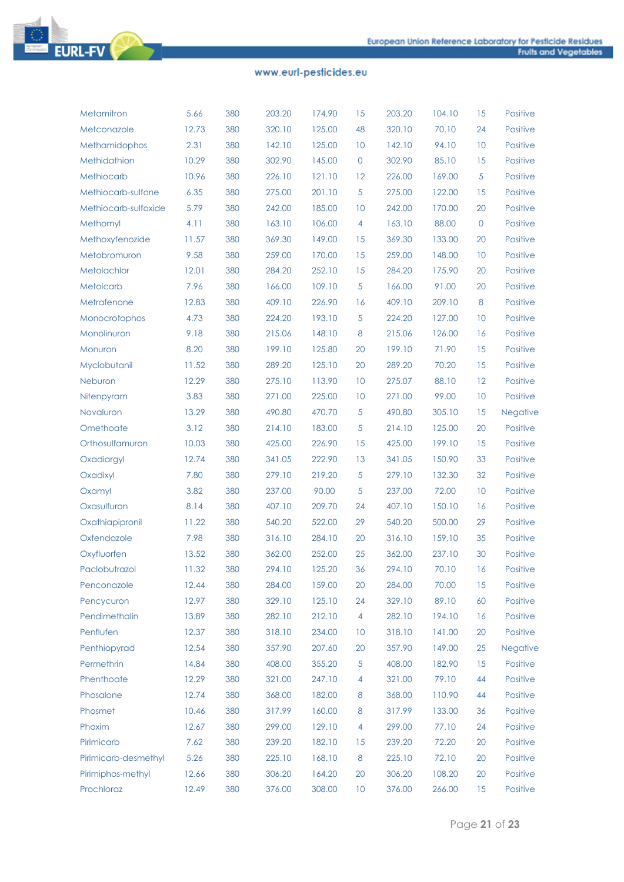

| Metamitron           | 5.66  | 380 | 203.20 | 174.90 | 15               | 203.20 | 104.10 | 15             | Positive |
|----------------------|-------|-----|--------|--------|------------------|--------|--------|----------------|----------|
| Metconazole          | 12.73 | 380 | 320.10 | 125.00 | 48               | 320.10 | 70.10  | 24             | Positive |
| Methamidophos        | 2.31  | 380 | 142.10 | 125.00 | 10               | 142.10 | 94.10  | 10             | Positive |
| Methidathion         | 10.29 | 380 | 302.90 | 145.00 | $\mathbf 0$      | 302.90 | 85.10  | 15             | Positive |
| Methiocarb           | 10.96 | 380 | 226.10 | 121.10 | 12               | 226.00 | 169.00 | 5              | Positive |
| Methiocarb-sulfone   | 6.35  | 380 | 275.00 | 201.10 | 5                | 275.00 | 122.00 | 15             | Positive |
| Methiocarb-sulfoxide | 5.79  | 380 | 242.00 | 185.00 | 10               | 242.00 | 170.00 | 20             | Positive |
| Methomyl             | 4.11  | 380 | 163.10 | 106.00 | 4                | 163.10 | 88.00  | $\overline{0}$ | Positive |
| Methoxyfenozide      | 11.57 | 380 | 369.30 | 149.00 | 15               | 369.30 | 133.00 | 20             | Positive |
| Metobromuron         | 9.58  | 380 | 259.00 | 170.00 | 15               | 259.00 | 148.00 | 10             | Positive |
| Metolachlor          | 12.01 | 380 | 284.20 | 252.10 | 15               | 284.20 | 175.90 | 20             | Positive |
| Metolcarb            | 7.96  | 380 | 166.00 | 109.10 | 5                | 166.00 | 91.00  | 20             | Positive |
| Metrafenone          | 12.83 | 380 | 409.10 | 226.90 | 16               | 409.10 | 209.10 | 8              | Positive |
| Monocrotophos        | 4.73  | 380 | 224.20 | 193.10 | 5                | 224.20 | 127.00 | 10             | Positive |
| Monolinuron          | 9.18  | 380 | 215.06 | 148.10 | $\boldsymbol{8}$ | 215.06 | 126.00 | 16             | Positive |
| Monuron              | 8.20  | 380 | 199.10 | 125.80 | 20               | 199.10 | 71.90  | 15             | Positive |
| Myclobutanil         | 11.52 | 380 | 289.20 | 125.10 | 20               | 289.20 | 70.20  | 15             | Positive |
| Neburon              | 12.29 | 380 | 275.10 | 113.90 | 10               | 275.07 | 88.10  | 12             | Positive |
| Nitenpyram           | 3.83  | 380 | 271.00 | 225.00 | 10               | 271.00 | 99.00  | 10             | Positive |
| Novaluron            | 13.29 | 380 | 490.80 | 470.70 | 5                | 490.80 | 305.10 | 15             | Negative |
| Omethoate            | 3.12  | 380 | 214.10 | 183.00 | 5                | 214.10 | 125.00 | 20             | Positive |
| Orthosulfamuron      | 10.03 | 380 | 425.00 | 226.90 | 15               | 425.00 | 199.10 | 15             | Positive |
| Oxadiargyl           | 12.74 | 380 | 341.05 | 222.90 | 13               | 341.05 | 150.90 | 33             | Positive |
| Oxadixyl             | 7.80  | 380 | 279.10 | 219.20 | 5                | 279.10 | 132.30 | 32             | Positive |
| Oxamyl               | 3.82  | 380 | 237.00 | 90.00  | 5                | 237.00 | 72.00  | 10             | Positive |
| Oxasulfuron          | 8.14  | 380 | 407.10 | 209.70 | 24               | 407.10 | 150.10 | 16             | Positive |
| Oxathiapipronil      | 11.22 | 380 | 540.20 | 522.00 | 29               | 540.20 | 500.00 | 29             | Positive |
| Oxfendazole          | 7.98  | 380 | 316.10 | 284.10 | 20               | 316.10 | 159.10 | 35             | Positive |
| Oxyfluorfen          | 13.52 | 380 | 362.00 | 252.00 | 25               | 362.00 | 237.10 | 30             | Positive |
| Paclobutrazol        | 11.32 | 380 | 294.10 | 125.20 | 36               | 294.10 | 70.10  | 16             | Positive |
| Penconazole          | 12.44 | 380 | 284.00 | 159.00 | 20               | 284.00 | 70.00  | 15             | Positive |
| Pencycuron           | 12.97 | 380 | 329.10 | 125.10 | 24               | 329.10 | 89.10  | 60             | Positive |
| Pendimethalin        | 13.89 | 380 | 282.10 | 212.10 | $\overline{4}$   | 282.10 | 194.10 | 16             | Positive |
| Penflufen            | 12.37 | 380 | 318.10 | 234.00 | 10               | 318.10 | 141.00 | 20             | Positive |
| Penthiopyrad         | 12.54 | 380 | 357.90 | 207.60 | 20               | 357.90 | 149.00 | 25             | Negative |
| Permethrin           | 14.84 | 380 | 408.00 | 355.20 | $\sqrt{5}$       | 408.00 | 182.90 | 15             | Positive |
| Phenthoate           | 12.29 | 380 | 321.00 | 247.10 | 4                | 321.00 | 79.10  | 44             | Positive |
| Phosalone            | 12.74 | 380 | 368.00 | 182.00 | 8                | 368.00 | 110.90 | 44             | Positive |
| Phosmet              | 10.46 | 380 | 317.99 | 160.00 | 8                | 317.99 | 133.00 | 36             | Positive |
| Phoxim               | 12.67 | 380 | 299.00 | 129.10 | 4                | 299.00 | 77.10  | 24             | Positive |
| Pirimicarb           | 7.62  | 380 | 239.20 | 182.10 | 15               | 239.20 | 72.20  | 20             | Positive |
| Pirimicarb-desmethyl | 5.26  | 380 | 225.10 | 168.10 | 8                | 225.10 | 72.10  | 20             | Positive |
| Pirimiphos-methyl    | 12.66 | 380 | 306.20 | 164.20 | 20               | 306.20 | 108.20 | 20             | Positive |
| Prochloraz           | 12.49 | 380 | 376.00 | 308.00 | 10               | 376.00 | 266.00 | 15             | Positive |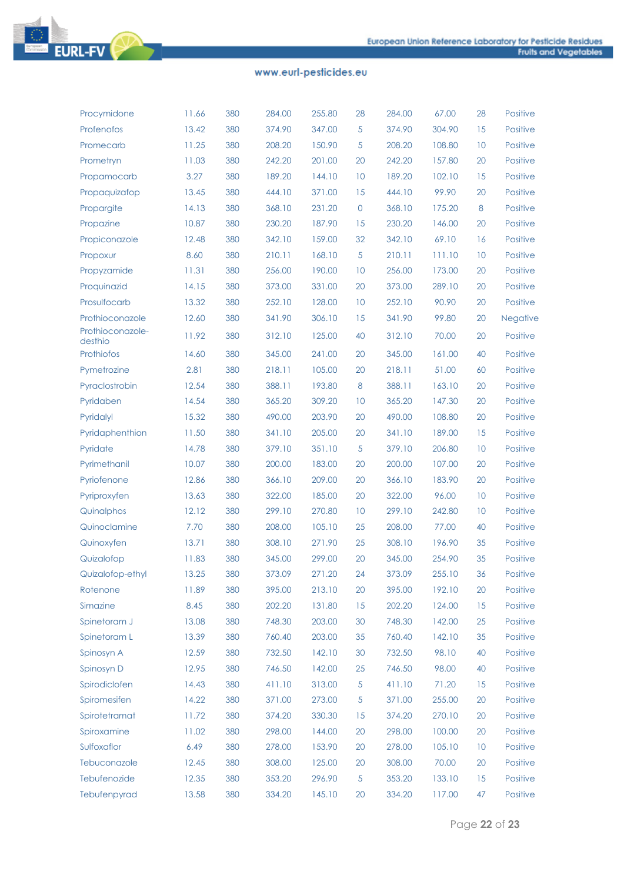

| Procymidone                 | 11.66 | 380 | 284.00 | 255.80 | 28       | 284.00 | 67.00  | 28 | Positive        |
|-----------------------------|-------|-----|--------|--------|----------|--------|--------|----|-----------------|
| Profenofos                  | 13.42 | 380 | 374.90 | 347.00 | 5        | 374.90 | 304.90 | 15 | <b>Positive</b> |
| Promecarb                   | 11.25 | 380 | 208.20 | 150.90 | 5        | 208.20 | 108.80 | 10 | Positive        |
| Prometryn                   | 11.03 | 380 | 242.20 | 201.00 | 20       | 242.20 | 157.80 | 20 | <b>Positive</b> |
| Propamocarb                 | 3.27  | 380 | 189.20 | 144.10 | 10       | 189.20 | 102.10 | 15 | Positive        |
| Propaquizafop               | 13.45 | 380 | 444.10 | 371.00 | 15       | 444.10 | 99.90  | 20 | <b>Positive</b> |
| Propargite                  | 14.13 | 380 | 368.10 | 231.20 | $\theta$ | 368.10 | 175.20 | 8  | Positive        |
| Propazine                   | 10.87 | 380 | 230.20 | 187.90 | 15       | 230.20 | 146.00 | 20 | <b>Positive</b> |
| Propiconazole               | 12.48 | 380 | 342.10 | 159.00 | 32       | 342.10 | 69.10  | 16 | Positive        |
| Propoxur                    | 8.60  | 380 | 210.11 | 168.10 | 5        | 210.11 | 111.10 | 10 | <b>Positive</b> |
| Propyzamide                 | 11.31 | 380 | 256.00 | 190.00 | 10       | 256.00 | 173.00 | 20 | Positive        |
| Proquinazid                 | 14.15 | 380 | 373.00 | 331.00 | 20       | 373.00 | 289.10 | 20 | <b>Positive</b> |
| Prosulfocarb                | 13.32 | 380 | 252.10 | 128.00 | 10       | 252.10 | 90.90  | 20 | Positive        |
| Prothioconazole             | 12.60 | 380 | 341.90 | 306.10 | 15       | 341.90 | 99.80  | 20 | Negative        |
| Prothioconazole-<br>desthio | 11.92 | 380 | 312.10 | 125.00 | 40       | 312.10 | 70.00  | 20 | Positive        |
| <b>Prothiofos</b>           | 14.60 | 380 | 345.00 | 241.00 | 20       | 345.00 | 161.00 | 40 | <b>Positive</b> |
| Pymetrozine                 | 2.81  | 380 | 218.11 | 105.00 | 20       | 218.11 | 51.00  | 60 | Positive        |
| Pyraclostrobin              | 12.54 | 380 | 388.11 | 193.80 | 8        | 388.11 | 163.10 | 20 | <b>Positive</b> |
| Pyridaben                   | 14.54 | 380 | 365.20 | 309.20 | 10       | 365.20 | 147.30 | 20 | Positive        |
| Pyridalyl                   | 15.32 | 380 | 490.00 | 203.90 | 20       | 490.00 | 108.80 | 20 | <b>Positive</b> |
| Pyridaphenthion             | 11.50 | 380 | 341.10 | 205.00 | 20       | 341.10 | 189.00 | 15 | Positive        |
| Pyridate                    | 14.78 | 380 | 379.10 | 351.10 | 5        | 379.10 | 206.80 | 10 | <b>Positive</b> |
| Pyrimethanil                | 10.07 | 380 | 200.00 | 183.00 | 20       | 200.00 | 107.00 | 20 | Positive        |
| Pyriofenone                 | 12.86 | 380 | 366.10 | 209.00 | 20       | 366.10 | 183.90 | 20 | <b>Positive</b> |
| Pyriproxyfen                | 13.63 | 380 | 322.00 | 185.00 | 20       | 322.00 | 96.00  | 10 | Positive        |
| Quinalphos                  | 12.12 | 380 | 299.10 | 270.80 | 10       | 299.10 | 242.80 | 10 | <b>Positive</b> |
| Quinoclamine                | 7.70  | 380 | 208.00 | 105.10 | 25       | 208.00 | 77.00  | 40 | Positive        |
| Quinoxyfen                  | 13.71 | 380 | 308.10 | 271.90 | 25       | 308.10 | 196.90 | 35 | <b>Positive</b> |
| Quizalofop                  | 11.83 | 380 | 345.00 | 299.00 | 20       | 345.00 | 254.90 | 35 | Positive        |
| Quizalofop-ethyl            | 13.25 | 380 | 373.09 | 271.20 | 24       | 373.09 | 255.10 | 36 | Positive        |
| Rotenone                    | 11.89 | 380 | 395.00 | 213.10 | 20       | 395.00 | 192.10 | 20 | Positive        |
| Simazine                    | 8.45  | 380 | 202.20 | 131.80 | 15       | 202.20 | 124.00 | 15 | <b>Positive</b> |
| Spinetoram J                | 13.08 | 380 | 748.30 | 203.00 | 30       | 748.30 | 142.00 | 25 | Positive        |
| Spinetoram L                | 13.39 | 380 | 760.40 | 203.00 | 35       | 760.40 | 142.10 | 35 | Positive        |
| Spinosyn A                  | 12.59 | 380 | 732.50 | 142.10 | 30       | 732.50 | 98.10  | 40 | Positive        |
| Spinosyn D                  | 12.95 | 380 | 746.50 | 142.00 | 25       | 746.50 | 98.00  | 40 | Positive        |
| Spirodiclofen               | 14.43 | 380 | 411.10 | 313.00 | 5        | 411.10 | 71.20  | 15 | Positive        |
| Spiromesifen                | 14.22 | 380 | 371.00 | 273.00 | 5        | 371.00 | 255.00 | 20 | Positive        |
| Spirotetramat               | 11.72 | 380 | 374.20 | 330.30 | 15       | 374.20 | 270.10 | 20 | Positive        |
| Spiroxamine                 | 11.02 | 380 | 298.00 | 144.00 | 20       | 298.00 | 100.00 | 20 | Positive        |
| Sulfoxaflor                 | 6.49  | 380 | 278.00 | 153.90 | 20       | 278.00 | 105.10 | 10 | Positive        |
| Tebuconazole                | 12.45 | 380 | 308.00 | 125.00 | 20       | 308.00 | 70.00  | 20 | Positive        |
| Tebufenozide                | 12.35 | 380 | 353.20 | 296.90 | 5        | 353.20 | 133.10 | 15 | Positive        |
| Tebufenpyrad                | 13.58 | 380 | 334.20 | 145.10 | 20       | 334.20 | 117.00 | 47 | Positive        |